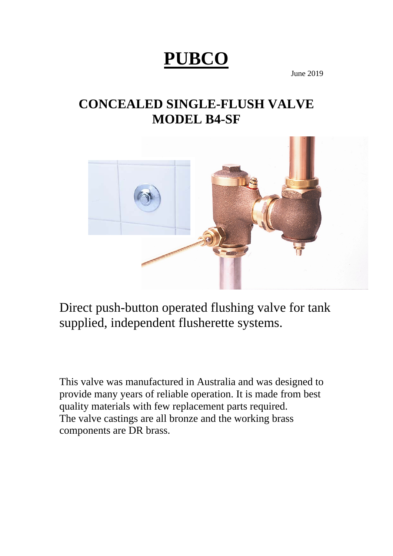# **PUBCO**

June 2019

## **CONCEALED SINGLE-FLUSH VALVE MODEL B4-SF**



Direct push-button operated flushing valve for tank supplied, independent flusherette systems.

This valve was manufactured in Australia and was designed to provide many years of reliable operation. It is made from best quality materials with few replacement parts required. The valve castings are all bronze and the working brass components are DR brass.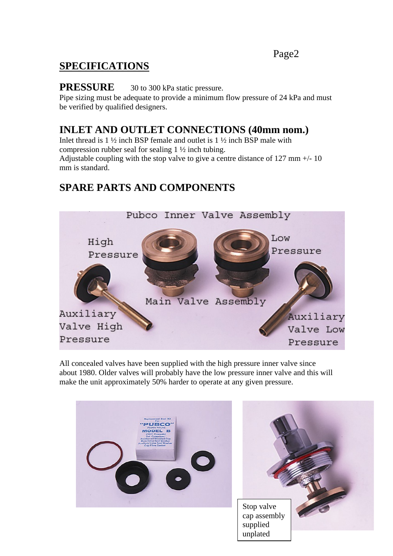#### Page2

## **SPECIFICATIONS**

#### **PRESSURE** 30 to 300 kPa static pressure.

Pipe sizing must be adequate to provide a minimum flow pressure of 24 kPa and must be verified by qualified designers.

## **INLET AND OUTLET CONNECTIONS (40mm nom.)**

Inlet thread is  $1\frac{1}{2}$  inch BSP female and outlet is  $1\frac{1}{2}$  inch BSP male with compression rubber seal for sealing 1 ½ inch tubing. Adjustable coupling with the stop valve to give a centre distance of 127 mm +/- 10 mm is standard.

## **SPARE PARTS AND COMPONENTS**



All concealed valves have been supplied with the high pressure inner valve since about 1980. Older valves will probably have the low pressure inner valve and this will make the unit approximately 50% harder to operate at any given pressure.

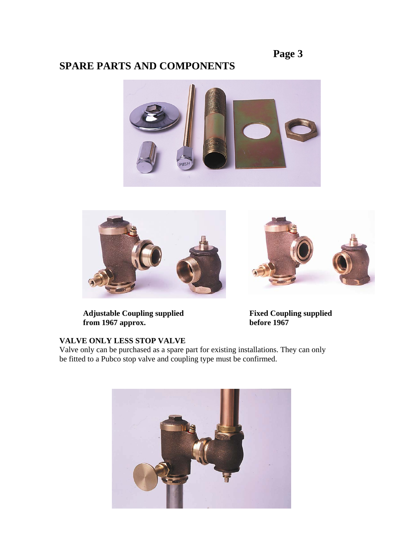## **Page 3**

## **SPARE PARTS AND COMPONENTS**







Adjustable Coupling supplied<br> **Fixed Coupling supplied**<br> **Fixed Coupling supplied**<br> **Fixed Coupling supplied**<br> **Fixed Coupling supplied** from 1967 approx.

#### **VALVE ONLY LESS STOP VALVE**

Valve only can be purchased as a spare part for existing installations. They can only be fitted to a Pubco stop valve and coupling type must be confirmed.